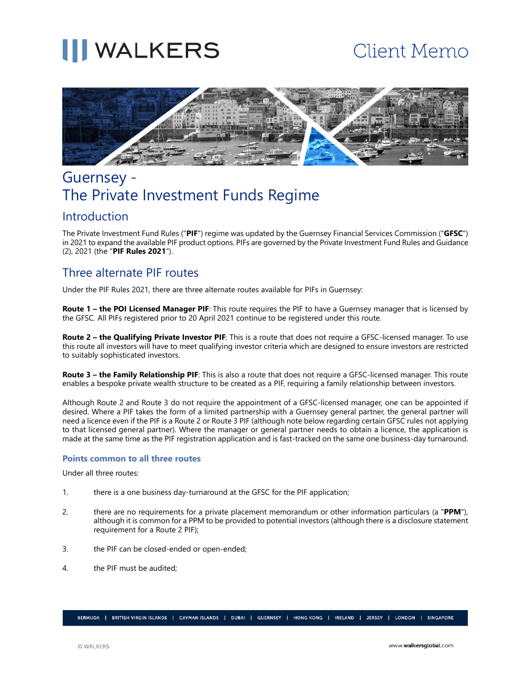# **III** WALKERS

# **Client Memo**



# Guernsey - The Private Investment Funds Regime

### Introduction

The Private Investment Fund Rules ("**PIF**") regime was updated by the Guernsey Financial Services Commission ("**GFSC**") in 2021 to expand the available PIF product options. PIFs are governed by the Private Investment Fund Rules and Guidance (2), 2021 (the "**PIF Rules 2021**").

## Three alternate PIF routes

Under the PIF Rules 2021, there are three alternate routes available for PIFs in Guernsey:

**Route 1 – the POI Licensed Manager PIF**: This route requires the PIF to have a Guernsey manager that is licensed by the GFSC. All PIFs registered prior to 20 April 2021 continue to be registered under this route.

**Route 2 – the Qualifying Private Investor PIF**: This is a route that does not require a GFSC-licensed manager. To use this route all investors will have to meet qualifying investor criteria which are designed to ensure investors are restricted to suitably sophisticated investors.

**Route 3 – the Family Relationship PIF**: This is also a route that does not require a GFSC-licensed manager. This route enables a bespoke private wealth structure to be created as a PIF, requiring a family relationship between investors.

Although Route 2 and Route 3 do not require the appointment of a GFSC-licensed manager, one can be appointed if desired. Where a PIF takes the form of a limited partnership with a Guernsey general partner, the general partner will need a licence even if the PIF is a Route 2 or Route 3 PIF (although note below regarding certain GFSC rules not applying to that licensed general partner). Where the manager or general partner needs to obtain a licence, the application is made at the same time as the PIF registration application and is fast-tracked on the same one business-day turnaround.

#### **Points common to all three routes**

Under all three routes:

- 1. there is a one business day-turnaround at the GFSC for the PIF application;
- 2. there are no requirements for a private placement memorandum or other information particulars (a "**PPM**"), although it is common for a PPM to be provided to potential investors (although there is a disclosure statement requirement for a Route 2 PIF);
- 3. the PIF can be closed-ended or open-ended;
- 4. the PIF must be audited;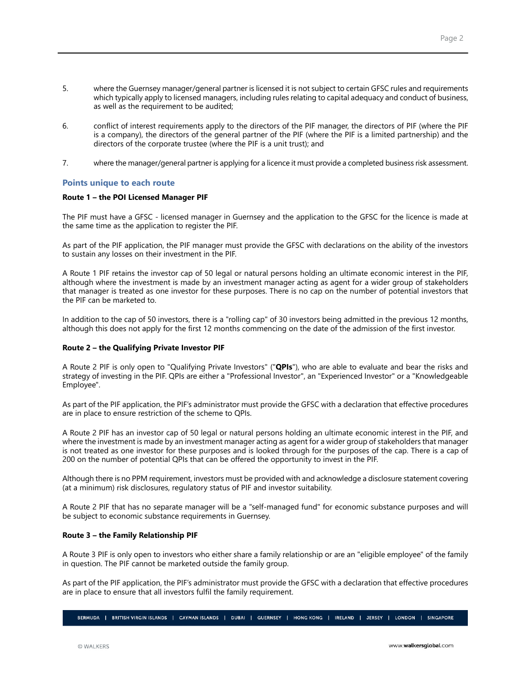- 5. where the Guernsey manager/general partner is licensed it is not subject to certain GFSC rules and requirements which typically apply to licensed managers, including rules relating to capital adequacy and conduct of business, as well as the requirement to be audited;
- 6. conflict of interest requirements apply to the directors of the PIF manager, the directors of PIF (where the PIF is a company), the directors of the general partner of the PIF (where the PIF is a limited partnership) and the directors of the corporate trustee (where the PIF is a unit trust); and
- 7. where the manager/general partner is applying for a licence it must provide a completed business risk assessment.

#### **Points unique to each route**

#### **Route 1 – the POI Licensed Manager PIF**

The PIF must have a GFSC - licensed manager in Guernsey and the application to the GFSC for the licence is made at the same time as the application to register the PIF.

As part of the PIF application, the PIF manager must provide the GFSC with declarations on the ability of the investors to sustain any losses on their investment in the PIF.

A Route 1 PIF retains the investor cap of 50 legal or natural persons holding an ultimate economic interest in the PIF, although where the investment is made by an investment manager acting as agent for a wider group of stakeholders that manager is treated as one investor for these purposes. There is no cap on the number of potential investors that the PIF can be marketed to.

In addition to the cap of 50 investors, there is a "rolling cap" of 30 investors being admitted in the previous 12 months, although this does not apply for the first 12 months commencing on the date of the admission of the first investor.

#### **Route 2 – the Qualifying Private Investor PIF**

A Route 2 PIF is only open to "Qualifying Private Investors" ("**QPIs**"), who are able to evaluate and bear the risks and strategy of investing in the PIF. QPIs are either a "Professional Investor", an "Experienced Investor" or a "Knowledgeable Employee".

As part of the PIF application, the PIF's administrator must provide the GFSC with a declaration that effective procedures are in place to ensure restriction of the scheme to QPIs.

A Route 2 PIF has an investor cap of 50 legal or natural persons holding an ultimate economic interest in the PIF, and where the investment is made by an investment manager acting as agent for a wider group of stakeholders that manager is not treated as one investor for these purposes and is looked through for the purposes of the cap. There is a cap of 200 on the number of potential QPIs that can be offered the opportunity to invest in the PIF.

Although there is no PPM requirement, investors must be provided with and acknowledge a disclosure statement covering (at a minimum) risk disclosures, regulatory status of PIF and investor suitability.

A Route 2 PIF that has no separate manager will be a "self-managed fund" for economic substance purposes and will be subject to economic substance requirements in Guernsey.

#### **Route 3 – the Family Relationship PIF**

A Route 3 PIF is only open to investors who either share a family relationship or are an "eligible employee" of the family in question. The PIF cannot be marketed outside the family group.

As part of the PIF application, the PIF's administrator must provide the GFSC with a declaration that effective procedures are in place to ensure that all investors fulfil the family requirement.

BERMUDA | BRITISH VIRGIN ISLANDS | CAYMAN ISLANDS | DUBAI | GUERNSEY | HONG-KONG | IRELAND | JERSEY | LONDON | SINGAPORE